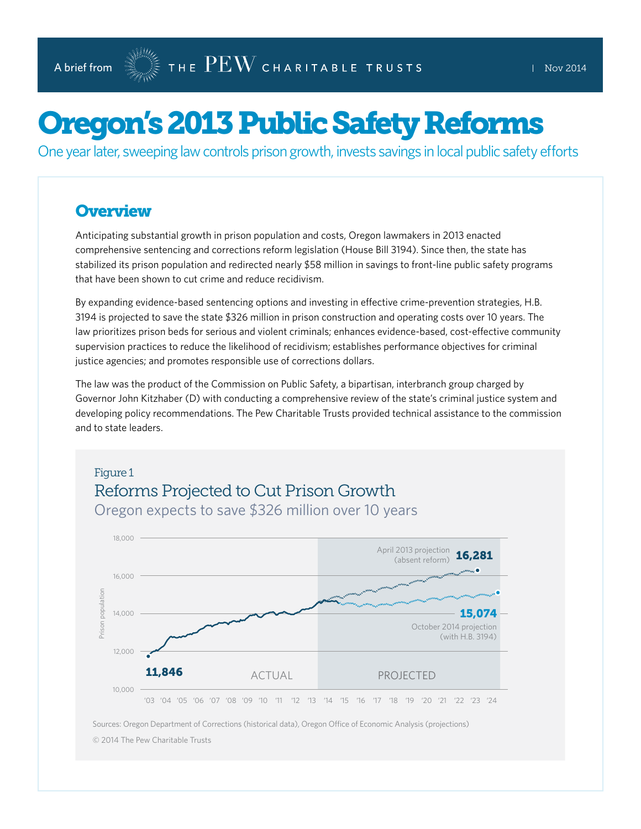# Oregon's 2013 Public Safety Reforms

One year later, sweeping law controls prison growth, invests savings in local public safety efforts

## **Overview**

Anticipating substantial growth in prison population and costs, Oregon lawmakers in 2013 enacted comprehensive sentencing and corrections reform legislation (House Bill 3194). Since then, the state has stabilized its prison population and redirected nearly \$58 million in savings to front-line public safety programs that have been shown to cut crime and reduce recidivism.

By expanding evidence-based sentencing options and investing in effective crime-prevention strategies, H.B. 3194 is projected to save the state \$326 million in prison construction and operating costs over 10 years. The law prioritizes prison beds for serious and violent criminals; enhances evidence-based, cost-effective community supervision practices to reduce the likelihood of recidivism; establishes performance objectives for criminal justice agencies; and promotes responsible use of corrections dollars.

The law was the product of the Commission on Public Safety, a bipartisan, interbranch group charged by Governor John Kitzhaber (D) with conducting a comprehensive review of the state's criminal justice system and developing policy recommendations. The Pew Charitable Trusts provided technical assistance to the commission and to state leaders.



Sources: Oregon Department of Corrections (historical data), Oregon Office of Economic Analysis (projections) © 2014 The Pew Charitable Trusts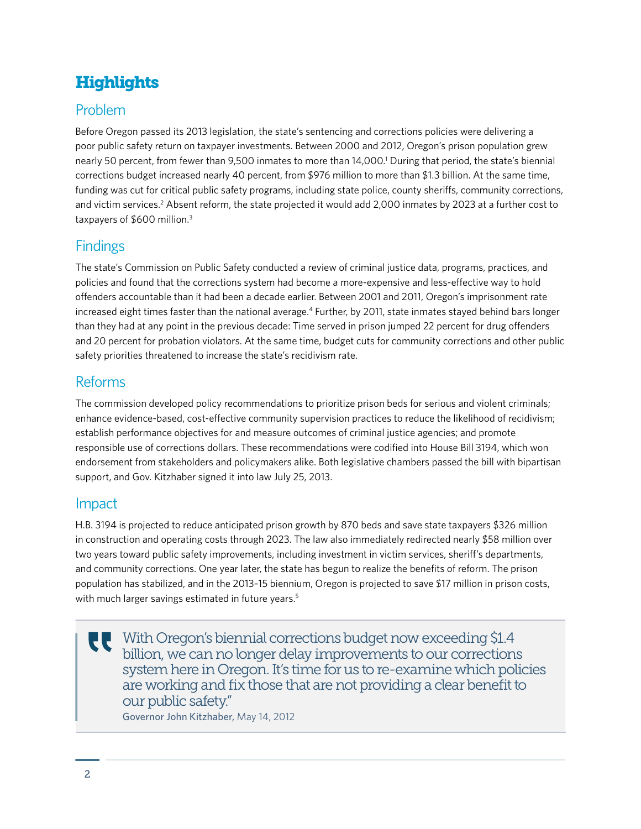# **Highlights**

# Problem

Before Oregon passed its 2013 legislation, the state's sentencing and corrections policies were delivering a poor public safety return on taxpayer investments. Between 2000 and 2012, Oregon's prison population grew nearly 50 percent, from fewer than 9,500 inmates to more than 14,000.<sup>1</sup> During that period, the state's biennial corrections budget increased nearly 40 percent, from \$976 million to more than \$1.3 billion. At the same time, funding was cut for critical public safety programs, including state police, county sheriffs, community corrections, and victim services.<sup>2</sup> Absent reform, the state projected it would add 2,000 inmates by 2023 at a further cost to taxpayers of \$600 million.3

# **Findings**

The state's Commission on Public Safety conducted a review of criminal justice data, programs, practices, and policies and found that the corrections system had become a more-expensive and less-effective way to hold offenders accountable than it had been a decade earlier. Between 2001 and 2011, Oregon's imprisonment rate increased eight times faster than the national average.<sup>4</sup> Further, by 2011, state inmates stayed behind bars longer than they had at any point in the previous decade: Time served in prison jumped 22 percent for drug offenders and 20 percent for probation violators. At the same time, budget cuts for community corrections and other public safety priorities threatened to increase the state's recidivism rate.

# Reforms

The commission developed policy recommendations to prioritize prison beds for serious and violent criminals; enhance evidence-based, cost-effective community supervision practices to reduce the likelihood of recidivism; establish performance objectives for and measure outcomes of criminal justice agencies; and promote responsible use of corrections dollars. These recommendations were codified into House Bill 3194, which won endorsement from stakeholders and policymakers alike. Both legislative chambers passed the bill with bipartisan support, and Gov. Kitzhaber signed it into law July 25, 2013.

## Impact

H.B. 3194 is projected to reduce anticipated prison growth by 870 beds and save state taxpayers \$326 million in construction and operating costs through 2023. The law also immediately redirected nearly \$58 million over two years toward public safety improvements, including investment in victim services, sheriff's departments, and community corrections. One year later, the state has begun to realize the benefits of reform. The prison population has stabilized, and in the 2013–15 biennium, Oregon is projected to save \$17 million in prison costs, with much larger savings estimated in future years.<sup>5</sup>

With Oregon's biennial corrections budget now exceeding \$1.4 billion, we can no longer delay improvements to our corrections system here in Oregon. It's time for us to re-examine which policies are working and fix those that are not providing a clear benefit to our public safety."

Governor John Kitzhaber, May 14, 2012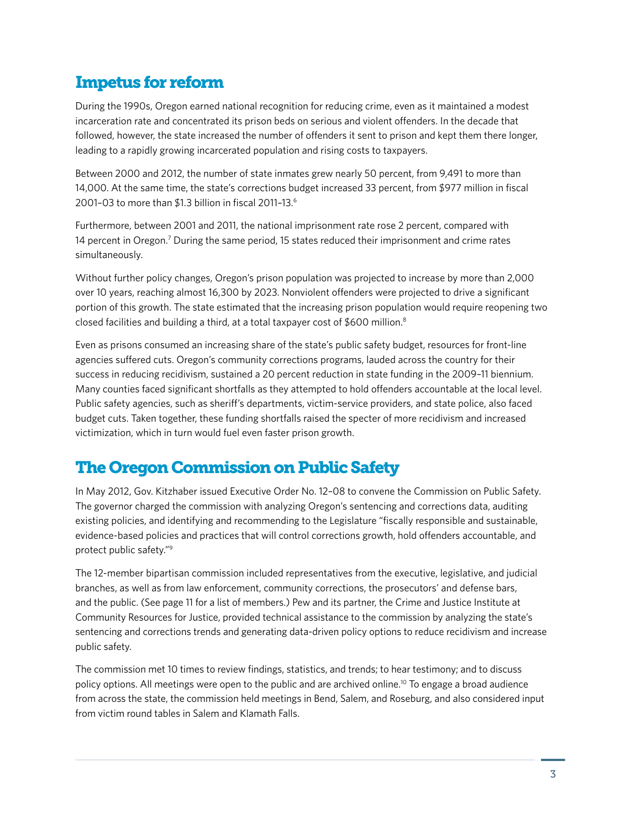# Impetus for reform

During the 1990s, Oregon earned national recognition for reducing crime, even as it maintained a modest incarceration rate and concentrated its prison beds on serious and violent offenders. In the decade that followed, however, the state increased the number of offenders it sent to prison and kept them there longer, leading to a rapidly growing incarcerated population and rising costs to taxpayers.

Between 2000 and 2012, the number of state inmates grew nearly 50 percent, from 9,491 to more than 14,000. At the same time, the state's corrections budget increased 33 percent, from \$977 million in fiscal 2001–03 to more than \$1.3 billion in fiscal 2011–13.6

Furthermore, between 2001 and 2011, the national imprisonment rate rose 2 percent, compared with 14 percent in Oregon.<sup>7</sup> During the same period, 15 states reduced their imprisonment and crime rates simultaneously.

Without further policy changes, Oregon's prison population was projected to increase by more than 2,000 over 10 years, reaching almost 16,300 by 2023. Nonviolent offenders were projected to drive a significant portion of this growth. The state estimated that the increasing prison population would require reopening two closed facilities and building a third, at a total taxpayer cost of \$600 million.8

Even as prisons consumed an increasing share of the state's public safety budget, resources for front-line agencies suffered cuts. Oregon's community corrections programs, lauded across the country for their success in reducing recidivism, sustained a 20 percent reduction in state funding in the 2009–11 biennium. Many counties faced significant shortfalls as they attempted to hold offenders accountable at the local level. Public safety agencies, such as sheriff's departments, victim-service providers, and state police, also faced budget cuts. Taken together, these funding shortfalls raised the specter of more recidivism and increased victimization, which in turn would fuel even faster prison growth.

# The Oregon Commission on Public Safety

In May 2012, Gov. Kitzhaber issued Executive Order No. 12–08 to convene the Commission on Public Safety. The governor charged the commission with analyzing Oregon's sentencing and corrections data, auditing existing policies, and identifying and recommending to the Legislature "fiscally responsible and sustainable, evidence-based policies and practices that will control corrections growth, hold offenders accountable, and protect public safety."9

The 12-member bipartisan commission included representatives from the executive, legislative, and judicial branches, as well as from law enforcement, community corrections, the prosecutors' and defense bars, and the public. (See page 11 for a list of members.) Pew and its partner, the Crime and Justice Institute at Community Resources for Justice, provided technical assistance to the commission by analyzing the state's sentencing and corrections trends and generating data-driven policy options to reduce recidivism and increase public safety.

The commission met 10 times to review findings, statistics, and trends; to hear testimony; and to discuss policy options. All meetings were open to the public and are archived online.10 To engage a broad audience from across the state, the commission held meetings in Bend, Salem, and Roseburg, and also considered input from victim round tables in Salem and Klamath Falls.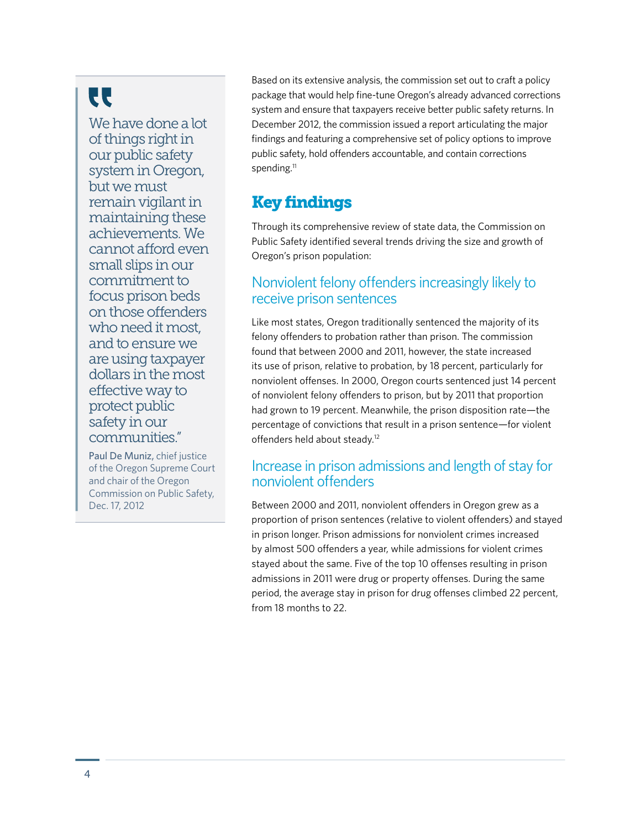# **CC**

We have done a lot of things right in our public safety system in Oregon, but we must remain vigilant in maintaining these achievements. We cannot afford even small slips in our commitment to focus prison beds on those offenders who need it most, and to ensure we are using taxpayer dollars in the most effective way to protect public safety in our communities."

Paul De Muniz, chief justice of the Oregon Supreme Court and chair of the Oregon Commission on Public Safety, Dec. 17, 2012

Based on its extensive analysis, the commission set out to craft a policy package that would help fine-tune Oregon's already advanced corrections system and ensure that taxpayers receive better public safety returns. In December 2012, the commission issued a report articulating the major findings and featuring a comprehensive set of policy options to improve public safety, hold offenders accountable, and contain corrections spending.<sup>11</sup>

# Key findings

Through its comprehensive review of state data, the Commission on Public Safety identified several trends driving the size and growth of Oregon's prison population:

## Nonviolent felony offenders increasingly likely to receive prison sentences

Like most states, Oregon traditionally sentenced the majority of its felony offenders to probation rather than prison. The commission found that between 2000 and 2011, however, the state increased its use of prison, relative to probation, by 18 percent, particularly for nonviolent offenses. In 2000, Oregon courts sentenced just 14 percent of nonviolent felony offenders to prison, but by 2011 that proportion had grown to 19 percent. Meanwhile, the prison disposition rate—the percentage of convictions that result in a prison sentence—for violent offenders held about steady.12

## Increase in prison admissions and length of stay for nonviolent offenders

Between 2000 and 2011, nonviolent offenders in Oregon grew as a proportion of prison sentences (relative to violent offenders) and stayed in prison longer. Prison admissions for nonviolent crimes increased by almost 500 offenders a year, while admissions for violent crimes stayed about the same. Five of the top 10 offenses resulting in prison admissions in 2011 were drug or property offenses. During the same period, the average stay in prison for drug offenses climbed 22 percent, from 18 months to 22.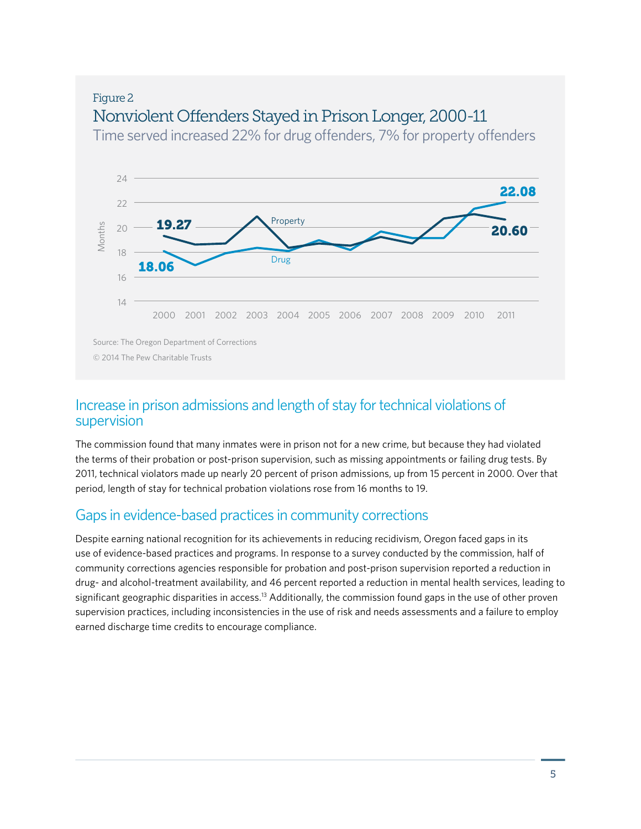# Figure 2 Nonviolent Offenders Stayed in Prison Longer, 2000-11

Time served increased 22% for drug offenders, 7% for property offenders



## Increase in prison admissions and length of stay for technical violations of supervision

The commission found that many inmates were in prison not for a new crime, but because they had violated the terms of their probation or post-prison supervision, such as missing appointments or failing drug tests. By 2011, technical violators made up nearly 20 percent of prison admissions, up from 15 percent in 2000. Over that period, length of stay for technical probation violations rose from 16 months to 19.

## Gaps in evidence-based practices in community corrections

Despite earning national recognition for its achievements in reducing recidivism, Oregon faced gaps in its use of evidence-based practices and programs. In response to a survey conducted by the commission, half of community corrections agencies responsible for probation and post-prison supervision reported a reduction in drug- and alcohol-treatment availability, and 46 percent reported a reduction in mental health services, leading to significant geographic disparities in access.<sup>13</sup> Additionally, the commission found gaps in the use of other proven supervision practices, including inconsistencies in the use of risk and needs assessments and a failure to employ earned discharge time credits to encourage compliance.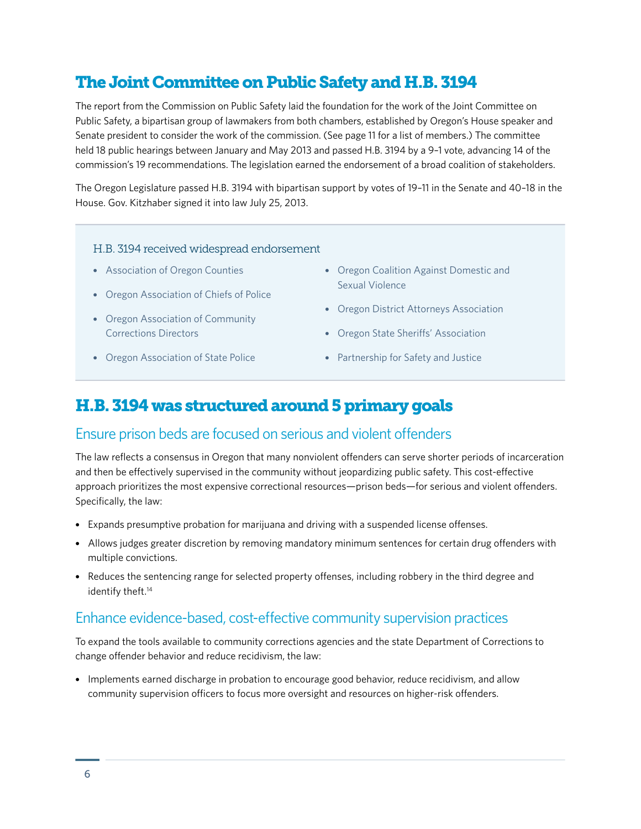# The Joint Committee on Public Safety and H.B. 3194

The report from the Commission on Public Safety laid the foundation for the work of the Joint Committee on Public Safety, a bipartisan group of lawmakers from both chambers, established by Oregon's House speaker and Senate president to consider the work of the commission. (See page 11 for a list of members.) The committee held 18 public hearings between January and May 2013 and passed H.B. 3194 by a 9–1 vote, advancing 14 of the commission's 19 recommendations. The legislation earned the endorsement of a broad coalition of stakeholders.

The Oregon Legislature passed H.B. 3194 with bipartisan support by votes of 19–11 in the Senate and 40–18 in the House. Gov. Kitzhaber signed it into law July 25, 2013.

#### H.B. 3194 received widespread endorsement

- Association of Oregon Counties
- Oregon Association of Chiefs of Police
- Oregon Association of Community Corrections Directors
- Oregon Association of State Police
- Oregon Coalition Against Domestic and Sexual Violence
- Oregon District Attorneys Association
- Oregon State Sheriffs' Association
- Partnership for Safety and Justice

## H.B. 3194 was structured around 5 primary goals

#### Ensure prison beds are focused on serious and violent offenders

The law reflects a consensus in Oregon that many nonviolent offenders can serve shorter periods of incarceration and then be effectively supervised in the community without jeopardizing public safety. This cost-effective approach prioritizes the most expensive correctional resources—prison beds—for serious and violent offenders. Specifically, the law:

- Expands presumptive probation for marijuana and driving with a suspended license offenses.
- Allows judges greater discretion by removing mandatory minimum sentences for certain drug offenders with multiple convictions.
- Reduces the sentencing range for selected property offenses, including robbery in the third degree and identify theft.<sup>14</sup>

#### Enhance evidence-based, cost-effective community supervision practices

To expand the tools available to community corrections agencies and the state Department of Corrections to change offender behavior and reduce recidivism, the law:

• Implements earned discharge in probation to encourage good behavior, reduce recidivism, and allow community supervision officers to focus more oversight and resources on higher-risk offenders.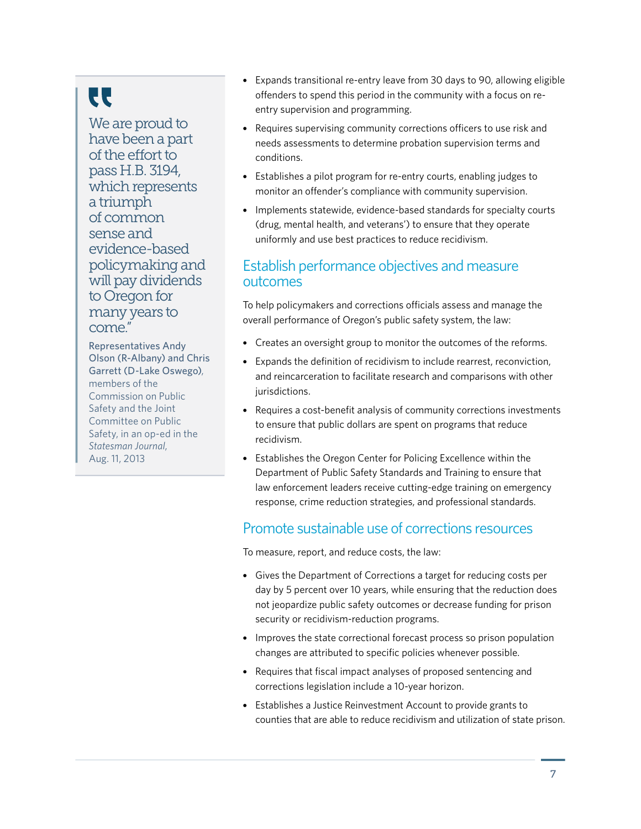# **CC**

We are proud to have been a part of the effort to pass H.B. 3194, which represents a triumph of common sense and evidence-based policymaking and will pay dividends to Oregon for many years to come."

Representatives Andy Olson (R-Albany) and Chris Garrett (D-Lake Oswego), members of the Commission on Public Safety and the Joint Committee on Public Safety, in an op-ed in the *Statesman Journal*, Aug. 11, 2013

- Expands transitional re-entry leave from 30 days to 90, allowing eligible offenders to spend this period in the community with a focus on reentry supervision and programming.
- Requires supervising community corrections officers to use risk and needs assessments to determine probation supervision terms and conditions.
- Establishes a pilot program for re-entry courts, enabling judges to monitor an offender's compliance with community supervision.
- Implements statewide, evidence-based standards for specialty courts (drug, mental health, and veterans') to ensure that they operate uniformly and use best practices to reduce recidivism.

### Establish performance objectives and measure outcomes

To help policymakers and corrections officials assess and manage the overall performance of Oregon's public safety system, the law:

- Creates an oversight group to monitor the outcomes of the reforms.
- Expands the definition of recidivism to include rearrest, reconviction, and reincarceration to facilitate research and comparisons with other jurisdictions.
- Requires a cost-benefit analysis of community corrections investments to ensure that public dollars are spent on programs that reduce recidivism.
- Establishes the Oregon Center for Policing Excellence within the Department of Public Safety Standards and Training to ensure that law enforcement leaders receive cutting-edge training on emergency response, crime reduction strategies, and professional standards.

## Promote sustainable use of corrections resources

To measure, report, and reduce costs, the law:

- Gives the Department of Corrections a target for reducing costs per day by 5 percent over 10 years, while ensuring that the reduction does not jeopardize public safety outcomes or decrease funding for prison security or recidivism-reduction programs.
- Improves the state correctional forecast process so prison population changes are attributed to specific policies whenever possible.
- Requires that fiscal impact analyses of proposed sentencing and corrections legislation include a 10-year horizon.
- Establishes a Justice Reinvestment Account to provide grants to counties that are able to reduce recidivism and utilization of state prison.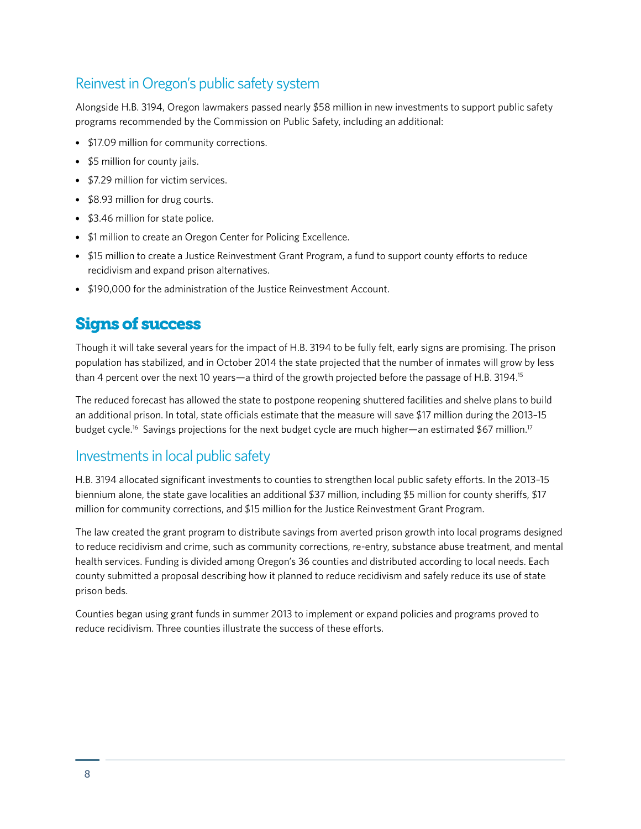## Reinvest in Oregon's public safety system

Alongside H.B. 3194, Oregon lawmakers passed nearly \$58 million in new investments to support public safety programs recommended by the Commission on Public Safety, including an additional:

- \$17.09 million for community corrections.
- \$5 million for county jails.
- \$7.29 million for victim services.
- \$8.93 million for drug courts.
- \$3.46 million for state police.
- \$1 million to create an Oregon Center for Policing Excellence.
- \$15 million to create a Justice Reinvestment Grant Program, a fund to support county efforts to reduce recidivism and expand prison alternatives.
- \$190,000 for the administration of the Justice Reinvestment Account.

# Signs of success

Though it will take several years for the impact of H.B. 3194 to be fully felt, early signs are promising. The prison population has stabilized, and in October 2014 the state projected that the number of inmates will grow by less than 4 percent over the next 10 years—a third of the growth projected before the passage of H.B. 3194.<sup>15</sup>

The reduced forecast has allowed the state to postpone reopening shuttered facilities and shelve plans to build an additional prison. In total, state officials estimate that the measure will save \$17 million during the 2013–15 budget cycle.<sup>16</sup> Savings projections for the next budget cycle are much higher—an estimated \$67 million.<sup>17</sup>

# Investments in local public safety

H.B. 3194 allocated significant investments to counties to strengthen local public safety efforts. In the 2013–15 biennium alone, the state gave localities an additional \$37 million, including \$5 million for county sheriffs, \$17 million for community corrections, and \$15 million for the Justice Reinvestment Grant Program.

The law created the grant program to distribute savings from averted prison growth into local programs designed to reduce recidivism and crime, such as community corrections, re-entry, substance abuse treatment, and mental health services. Funding is divided among Oregon's 36 counties and distributed according to local needs. Each county submitted a proposal describing how it planned to reduce recidivism and safely reduce its use of state prison beds.

Counties began using grant funds in summer 2013 to implement or expand policies and programs proved to reduce recidivism. Three counties illustrate the success of these efforts.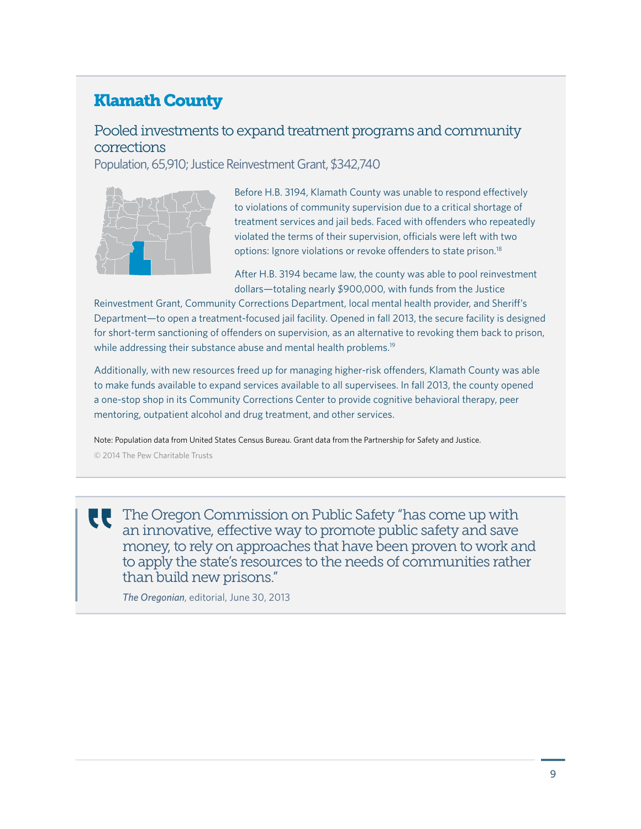# Klamath County

## Pooled investments to expand treatment programs and community corrections

Population, 65,910; Justice Reinvestment Grant, \$342,740



Before H.B. 3194, Klamath County was unable to respond effectively to violations of community supervision due to a critical shortage of treatment services and jail beds. Faced with offenders who repeatedly violated the terms of their supervision, officials were left with two options: Ignore violations or revoke offenders to state prison.<sup>18</sup>

After H.B. 3194 became law, the county was able to pool reinvestment dollars—totaling nearly \$900,000, with funds from the Justice

Reinvestment Grant, Community Corrections Department, local mental health provider, and Sheriff's Department—to open a treatment-focused jail facility. Opened in fall 2013, the secure facility is designed for short-term sanctioning of offenders on supervision, as an alternative to revoking them back to prison, while addressing their substance abuse and mental health problems.<sup>19</sup>

Additionally, with new resources freed up for managing higher-risk offenders, Klamath County was able to make funds available to expand services available to all supervisees. In fall 2013, the county opened a one-stop shop in its Community Corrections Center to provide cognitive behavioral therapy, peer mentoring, outpatient alcohol and drug treatment, and other services.

Note: Population data from United States Census Bureau. Grant data from the Partnership for Safety and Justice. © 2014 The Pew Charitable Trusts

U

The Oregon Commission on Public Safety "has come up with an innovative, effective way to promote public safety and save money, to rely on approaches that have been proven to work and to apply the state's resources to the needs of communities rather than build new prisons."

*The Oregonian*, editorial, June 30, 2013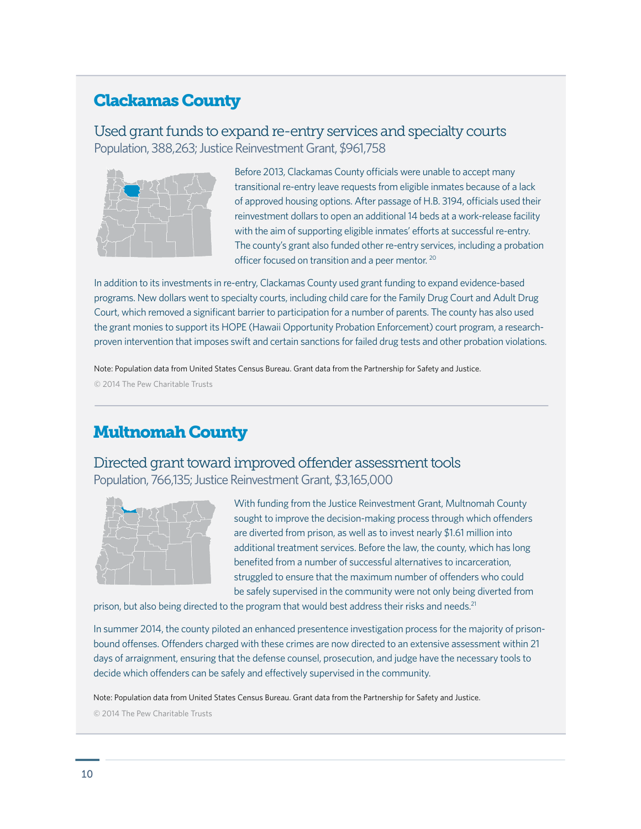# Clackamas County

### Used grant funds to expand re-entry services and specialty courts Population, 388,263; Justice Reinvestment Grant, \$961,758



Before 2013, Clackamas County officials were unable to accept many transitional re-entry leave requests from eligible inmates because of a lack of approved housing options. After passage of H.B. 3194, officials used their reinvestment dollars to open an additional 14 beds at a work-release facility with the aim of supporting eligible inmates' efforts at successful re-entry. The county's grant also funded other re-entry services, including a probation officer focused on transition and a peer mentor. <sup>20</sup>

In addition to its investments in re-entry, Clackamas County used grant funding to expand evidence-based programs. New dollars went to specialty courts, including child care for the Family Drug Court and Adult Drug Court, which removed a significant barrier to participation for a number of parents. The county has also used the grant monies to support its HOPE (Hawaii Opportunity Probation Enforcement) court program, a researchproven intervention that imposes swift and certain sanctions for failed drug tests and other probation violations.

Note: Population data from United States Census Bureau. Grant data from the Partnership for Safety and Justice. © 2014 The Pew Charitable Trusts

# Multnomah County

Directed grant toward improved offender assessment tools Population, 766,135; Justice Reinvestment Grant, \$3,165,000



With funding from the Justice Reinvestment Grant, Multnomah County sought to improve the decision-making process through which offenders are diverted from prison, as well as to invest nearly \$1.61 million into additional treatment services. Before the law, the county, which has long benefited from a number of successful alternatives to incarceration, struggled to ensure that the maximum number of offenders who could be safely supervised in the community were not only being diverted from

prison, but also being directed to the program that would best address their risks and needs.<sup>21</sup>

In summer 2014, the county piloted an enhanced presentence investigation process for the majority of prisonbound offenses. Offenders charged with these crimes are now directed to an extensive assessment within 21 days of arraignment, ensuring that the defense counsel, prosecution, and judge have the necessary tools to decide which offenders can be safely and effectively supervised in the community.

Note: Population data from United States Census Bureau. Grant data from the Partnership for Safety and Justice.

© 2014 The Pew Charitable Trusts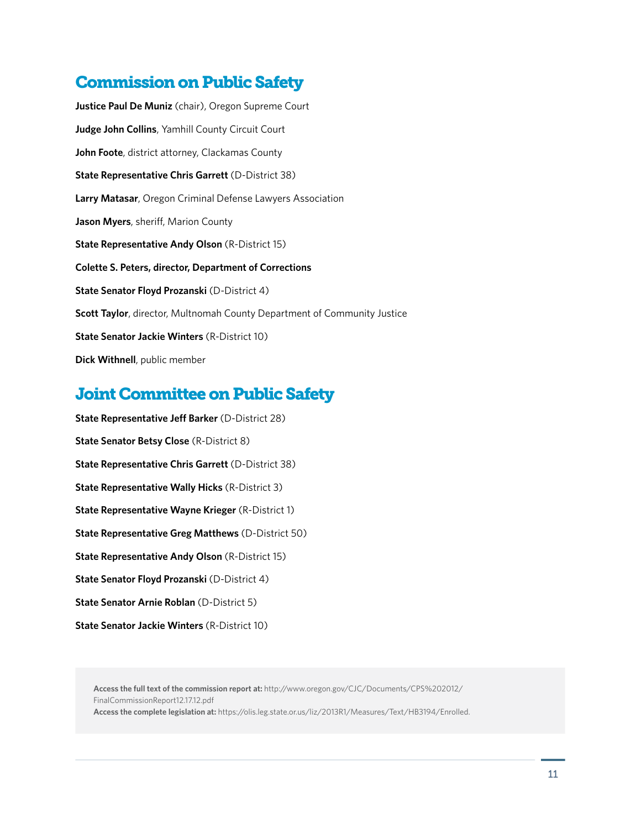# Commission on Public Safety

**Justice Paul De Muniz** (chair), Oregon Supreme Court **Judge John Collins**, Yamhill County Circuit Court **John Foote**, district attorney, Clackamas County **State Representative Chris Garrett** (D-District 38) **Larry Matasar**, Oregon Criminal Defense Lawyers Association **Jason Myers**, sheriff, Marion County **State Representative Andy Olson** (R-District 15) **Colette S. Peters, director, Department of Corrections State Senator Floyd Prozanski** (D-District 4) **Scott Taylor**, director, Multnomah County Department of Community Justice **State Senator Jackie Winters** (R-District 10) **Dick Withnell**, public member

# Joint Committee on Public Safety

**State Representative Jeff Barker** (D-District 28) **State Senator Betsy Close** (R-District 8) **State Representative Chris Garrett** (D-District 38) **State Representative Wally Hicks** (R-District 3) **State Representative Wayne Krieger** (R-District 1) **State Representative Greg Matthews** (D-District 50) **State Representative Andy Olson** (R-District 15) **State Senator Floyd Prozanski (D-District 4) State Senator Arnie Roblan** (D-District 5) **State Senator Jackie Winters** (R-District 10)

**Access the full text of the commission report at:** http://www.oregon.gov/CJC/Documents/CPS%202012/ FinalCommissionReport12.17.12.pdf

**Access the complete legislation at:** https://olis.leg.state.or.us/liz/2013R1/Measures/Text/HB3194/Enrolled.